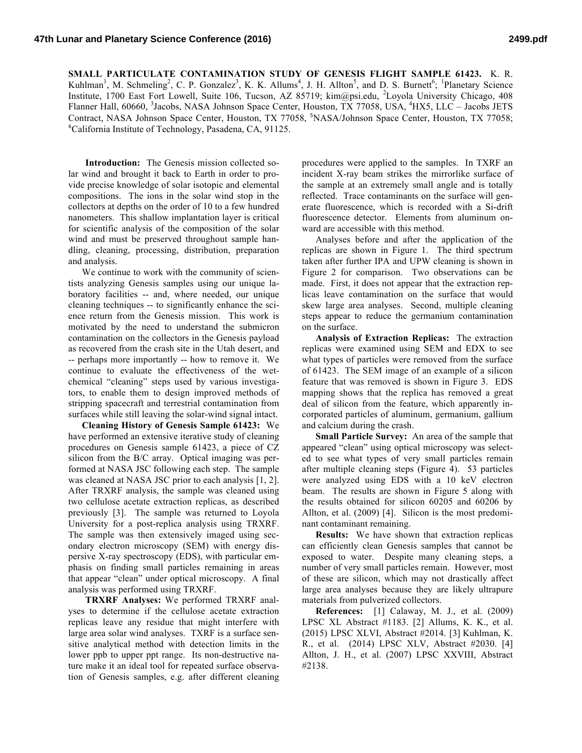**SMALL PARTICULATE CONTAMINATION STUDY OF GENESIS FLIGHT SAMPLE 61423.** K. R. Kuhlman<sup>1</sup>, M. Schmeling<sup>2</sup>, C. P. Gonzalez<sup>3</sup>, K. K. Allums<sup>4</sup>, J. H. Allton<sup>5</sup>, and D. S. Burnett<sup>6</sup>; <sup>1</sup>Planetary Science Institute, 1700 East Fort Lowell, Suite 106, Tucson, AZ 85719; kim@psi.edu, <sup>2</sup>Loyola University Chicago, 408 Flanner Hall, 60660, <sup>3</sup>Jacobs, NASA Johnson Space Center, Houston, TX 77058, USA, <sup>4</sup>HX5, LLC - Jacobs JETS Contract, NASA Johnson Space Center, Houston, TX 77058, <sup>5</sup>NASA/Johnson Space Center, Houston, TX 77058; 6 California Institute of Technology, Pasadena, CA, 91125.

**Introduction:** The Genesis mission collected solar wind and brought it back to Earth in order to provide precise knowledge of solar isotopic and elemental compositions. The ions in the solar wind stop in the collectors at depths on the order of 10 to a few hundred nanometers. This shallow implantation layer is critical for scientific analysis of the composition of the solar wind and must be preserved throughout sample handling, cleaning, processing, distribution, preparation and analysis.

We continue to work with the community of scientists analyzing Genesis samples using our unique laboratory facilities -- and, where needed, our unique cleaning techniques -- to significantly enhance the science return from the Genesis mission. This work is motivated by the need to understand the submicron contamination on the collectors in the Genesis payload as recovered from the crash site in the Utah desert, and -- perhaps more importantly -- how to remove it. We continue to evaluate the effectiveness of the wetchemical "cleaning" steps used by various investigators, to enable them to design improved methods of stripping spacecraft and terrestrial contamination from surfaces while still leaving the solar-wind signal intact.

**Cleaning History of Genesis Sample 61423:** We have performed an extensive iterative study of cleaning procedures on Genesis sample 61423, a piece of CZ silicon from the B/C array. Optical imaging was performed at NASA JSC following each step. The sample was cleaned at NASA JSC prior to each analysis [1, 2]. After TRXRF analysis, the sample was cleaned using two cellulose acetate extraction replicas, as described previously [3]. The sample was returned to Loyola University for a post-replica analysis using TRXRF. The sample was then extensively imaged using secondary electron microscopy (SEM) with energy dispersive X-ray spectroscopy (EDS), with particular emphasis on finding small particles remaining in areas that appear "clean" under optical microscopy. A final analysis was performed using TRXRF.

**TRXRF Analyses:** We performed TRXRF analyses to determine if the cellulose acetate extraction replicas leave any residue that might interfere with large area solar wind analyses. TXRF is a surface sensitive analytical method with detection limits in the lower ppb to upper ppt range. Its non-destructive nature make it an ideal tool for repeated surface observation of Genesis samples, e.g. after different cleaning procedures were applied to the samples. In TXRF an incident X-ray beam strikes the mirrorlike surface of the sample at an extremely small angle and is totally reflected. Trace contaminants on the surface will generate fluorescence, which is recorded with a Si-drift fluorescence detector. Elements from aluminum onward are accessible with this method.

Analyses before and after the application of the replicas are shown in Figure 1. The third spectrum taken after further IPA and UPW cleaning is shown in Figure 2 for comparison. Two observations can be made. First, it does not appear that the extraction replicas leave contamination on the surface that would skew large area analyses. Second, multiple cleaning steps appear to reduce the germanium contamination on the surface.

**Analysis of Extraction Replicas:** The extraction replicas were examined using SEM and EDX to see what types of particles were removed from the surface of 61423. The SEM image of an example of a silicon feature that was removed is shown in Figure 3. EDS mapping shows that the replica has removed a great deal of silicon from the feature, which apparently incorporated particles of aluminum, germanium, gallium and calcium during the crash.

**Small Particle Survey:** An area of the sample that appeared "clean" using optical microscopy was selected to see what types of very small particles remain after multiple cleaning steps (Figure 4). 53 particles were analyzed using EDS with a 10 keV electron beam. The results are shown in Figure 5 along with the results obtained for silicon 60205 and 60206 by Allton, et al. (2009) [4]. Silicon is the most predominant contaminant remaining.

**Results:** We have shown that extraction replicas can efficiently clean Genesis samples that cannot be exposed to water. Despite many cleaning steps, a number of very small particles remain. However, most of these are silicon, which may not drastically affect large area analyses because they are likely ultrapure materials from pulverized collectors.

**References:** [1] Calaway, M. J., et al. (2009) LPSC XL Abstract #1183. [2] Allums, K. K., et al. (2015) LPSC XLVI, Abstract #2014. [3] Kuhlman, K. R., et al. (2014) LPSC XLV, Abstract #2030. [4] Allton, J. H., et al. (2007) LPSC XXVIII, Abstract #2138.